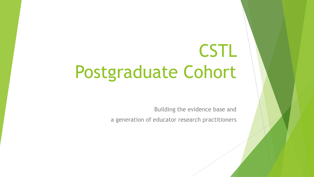# CSTL Postgraduate Cohort

Building the evidence base and

a generation of educator research practitioners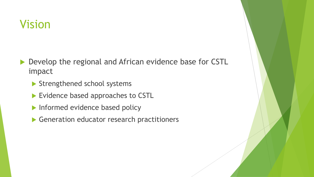# Vision

- Develop the regional and African evidence base for CSTL impact
	- Strengthened school systems
	- Evidence based approaches to CSTL
	- Informed evidence based policy
	- Generation educator research practitioners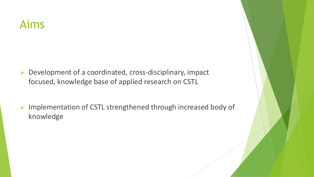### Aims

- ➢ Development of a coordinated, cross-disciplinary, impact focused, knowledge base of applied research on CSTL
- ➢ Implementation of CSTL strengthened through increased body of knowledge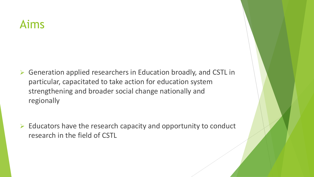### Aims

- ➢ Generation applied researchers in Education broadly, and CSTL in particular, capacitated to take action for education system strengthening and broader social change nationally and regionally
- $\triangleright$  Educators have the research capacity and opportunity to conduct research in the field of CSTL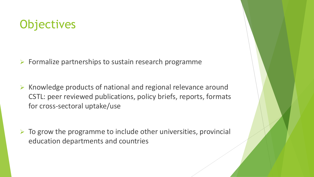# **Objectives**

- $\triangleright$  Formalize partnerships to sustain research programme
- ➢ Knowledge products of national and regional relevance around CSTL: peer reviewed publications, policy briefs, reports, formats for cross-sectoral uptake/use
- $\triangleright$  To grow the programme to include other universities, provincial education departments and countries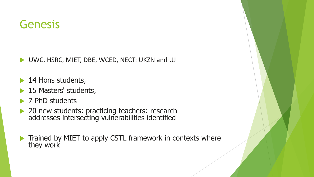# Genesis

UWC, HSRC, MIET, DBE, WCED, NECT: UKZN and UJ

- ▶ 14 Hons students,
- ▶ 15 Masters' students,
- ▶ 7 PhD students
- ▶ 20 new students: practicing teachers: research addresses intersecting vulnerabilities identified
- $\blacktriangleright$  Trained by MIET to apply CSTL framework in contexts where they work